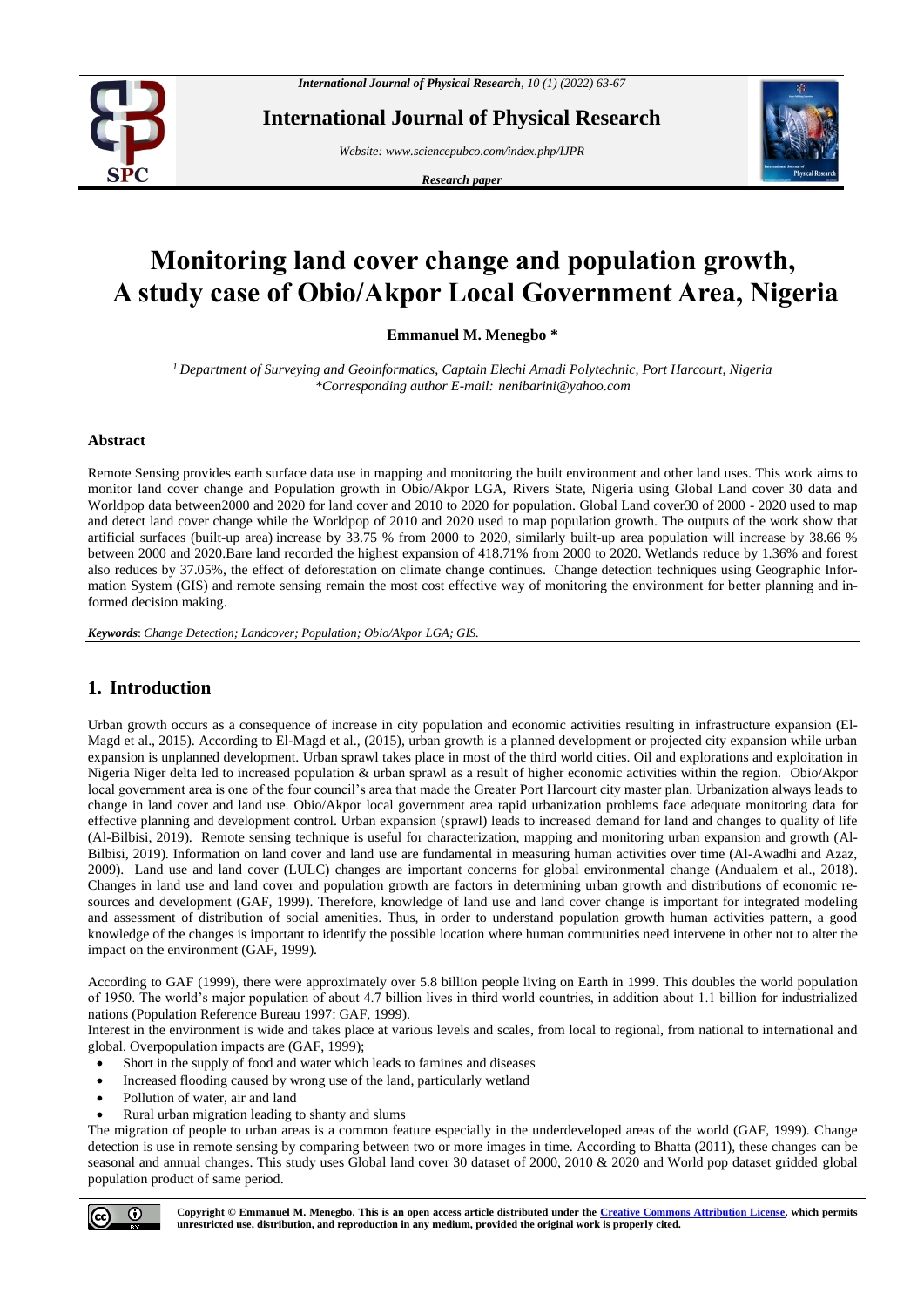

**International Journal of Physical Research**

*Website: www.sciencepubco.com/index.php/IJPR* 

*Research paper*



# **Monitoring land cover change and population growth, A study case of Obio/Akpor Local Government Area, Nigeria**

**Emmanuel M. Menegbo \***

*<sup>1</sup> Department of Surveying and Geoinformatics, Captain Elechi Amadi Polytechnic, Port Harcourt, Nigeria \*Corresponding author E-mail: nenibarini@yahoo.com*

#### **Abstract**

Remote Sensing provides earth surface data use in mapping and monitoring the built environment and other land uses. This work aims to monitor land cover change and Population growth in Obio/Akpor LGA, Rivers State, Nigeria using Global Land cover 30 data and Worldpop data between2000 and 2020 for land cover and 2010 to 2020 for population. Global Land cover30 of 2000 - 2020 used to map and detect land cover change while the Worldpop of 2010 and 2020 used to map population growth. The outputs of the work show that artificial surfaces (built-up area) increase by 33.75 % from 2000 to 2020, similarly built-up area population will increase by 38.66 % between 2000 and 2020.Bare land recorded the highest expansion of 418.71% from 2000 to 2020. Wetlands reduce by 1.36% and forest also reduces by 37.05%, the effect of deforestation on climate change continues. Change detection techniques using Geographic Information System (GIS) and remote sensing remain the most cost effective way of monitoring the environment for better planning and informed decision making.

*Keywords*: *Change Detection; Landcover; Population; Obio/Akpor LGA; GIS.*

# **1. Introduction**

Urban growth occurs as a consequence of increase in city population and economic activities resulting in infrastructure expansion (El-Magd et al., 2015). According to El-Magd et al., (2015), urban growth is a planned development or projected city expansion while urban expansion is unplanned development. Urban sprawl takes place in most of the third world cities. Oil and explorations and exploitation in Nigeria Niger delta led to increased population & urban sprawl as a result of higher economic activities within the region. Obio/Akpor local government area is one of the four council's area that made the Greater Port Harcourt city master plan. Urbanization always leads to change in land cover and land use. Obio/Akpor local government area rapid urbanization problems face adequate monitoring data for effective planning and development control. Urban expansion (sprawl) leads to increased demand for land and changes to quality of life (Al-Bilbisi, 2019). Remote sensing technique is useful for characterization, mapping and monitoring urban expansion and growth (Al-Bilbisi, 2019). Information on land cover and land use are fundamental in measuring human activities over time (Al-Awadhi and Azaz, 2009). Land use and land cover (LULC) changes are important concerns for global environmental change (Andualem et al., 2018). Changes in land use and land cover and population growth are factors in determining urban growth and distributions of economic resources and development (GAF, 1999). Therefore, knowledge of land use and land cover change is important for integrated modeling and assessment of distribution of social amenities. Thus, in order to understand population growth human activities pattern, a good knowledge of the changes is important to identify the possible location where human communities need intervene in other not to alter the impact on the environment (GAF, 1999).

According to GAF (1999), there were approximately over 5.8 billion people living on Earth in 1999. This doubles the world population of 1950. The world's major population of about 4.7 billion lives in third world countries, in addition about 1.1 billion for industrialized nations (Population Reference Bureau 1997: GAF, 1999).

Interest in the environment is wide and takes place at various levels and scales, from local to regional, from national to international and global. Overpopulation impacts are (GAF, 1999);

- Short in the supply of food and water which leads to famines and diseases
- Increased flooding caused by wrong use of the land, particularly wetland
- Pollution of water, air and land
- Rural urban migration leading to shanty and slums

The migration of people to urban areas is a common feature especially in the underdeveloped areas of the world (GAF, 1999). Change detection is use in remote sensing by comparing between two or more images in time. According to Bhatta (2011), these changes can be seasonal and annual changes. This study uses Global land cover 30 dataset of 2000, 2010 & 2020 and World pop dataset gridded global population product of same period.



**Copyright © Emmanuel M. Menegbo. This is an open access article distributed under the [Creative Commons Attribution License,](http://creativecommons.org/licenses/by/3.0/) which permits unrestricted use, distribution, and reproduction in any medium, provided the original work is properly cited.**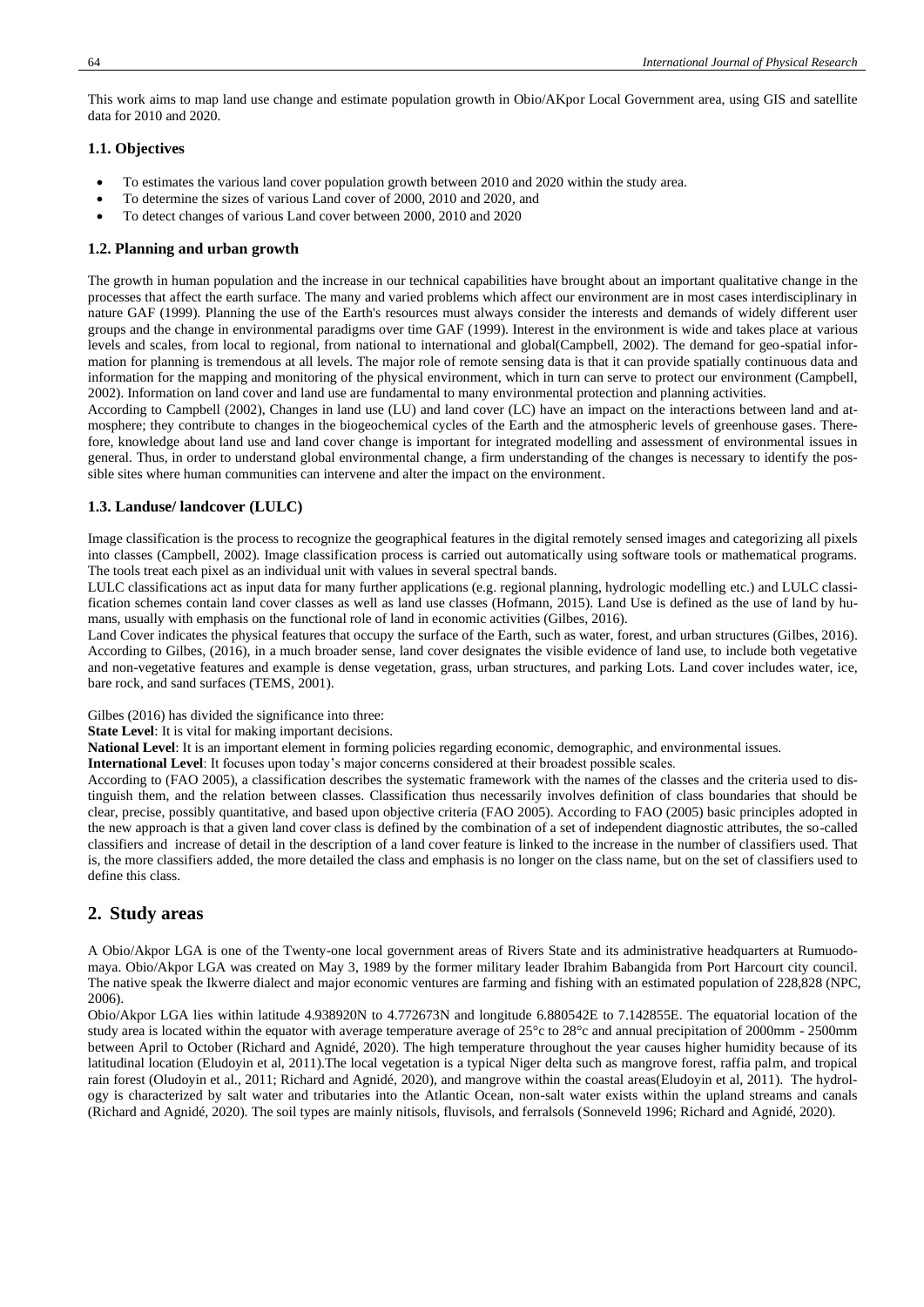This work aims to map land use change and estimate population growth in Obio/AKpor Local Government area, using GIS and satellite data for 2010 and 2020.

### **1.1. Objectives**

- To estimates the various land cover population growth between 2010 and 2020 within the study area.
- To determine the sizes of various Land cover of 2000, 2010 and 2020, and
- To detect changes of various Land cover between 2000, 2010 and 2020

#### **1.2. Planning and urban growth**

The growth in human population and the increase in our technical capabilities have brought about an important qualitative change in the processes that affect the earth surface. The many and varied problems which affect our environment are in most cases interdisciplinary in nature GAF (1999). Planning the use of the Earth's resources must always consider the interests and demands of widely different user groups and the change in environmental paradigms over time GAF (1999). Interest in the environment is wide and takes place at various levels and scales, from local to regional, from national to international and global(Campbell, 2002). The demand for geo-spatial information for planning is tremendous at all levels. The major role of remote sensing data is that it can provide spatially continuous data and information for the mapping and monitoring of the physical environment, which in turn can serve to protect our environment (Campbell, 2002). Information on land cover and land use are fundamental to many environmental protection and planning activities.

According to Campbell (2002), Changes in land use (LU) and land cover (LC) have an impact on the interactions between land and atmosphere; they contribute to changes in the biogeochemical cycles of the Earth and the atmospheric levels of greenhouse gases. Therefore, knowledge about land use and land cover change is important for integrated modelling and assessment of environmental issues in general. Thus, in order to understand global environmental change, a firm understanding of the changes is necessary to identify the possible sites where human communities can intervene and alter the impact on the environment.

#### **1.3. Landuse/ landcover (LULC)**

Image classification is the process to recognize the geographical features in the digital remotely sensed images and categorizing all pixels into classes (Campbell, 2002). Image classification process is carried out automatically using software tools or mathematical programs. The tools treat each pixel as an individual unit with values in several spectral bands.

LULC classifications act as input data for many further applications (e.g. regional planning, hydrologic modelling etc.) and LULC classification schemes contain land cover classes as well as land use classes (Hofmann, 2015). Land Use is defined as the use of land by humans, usually with emphasis on the functional role of land in economic activities (Gilbes, 2016).

Land Cover indicates the physical features that occupy the surface of the Earth, such as water, forest, and urban structures (Gilbes, 2016). According to Gilbes, (2016), in a much broader sense, land cover designates the visible evidence of land use, to include both vegetative and non-vegetative features and example is dense vegetation, grass, urban structures, and parking Lots. Land cover includes water, ice, bare rock, and sand surfaces (TEMS, 2001).

Gilbes (2016) has divided the significance into three:

**State Level**: It is vital for making important decisions.

**National Level**: It is an important element in forming policies regarding economic, demographic, and environmental issues.

**International Level**: It focuses upon today's major concerns considered at their broadest possible scales.

According to (FAO 2005), a classification describes the systematic framework with the names of the classes and the criteria used to distinguish them, and the relation between classes. Classification thus necessarily involves definition of class boundaries that should be clear, precise, possibly quantitative, and based upon objective criteria (FAO 2005). According to FAO (2005) basic principles adopted in the new approach is that a given land cover class is defined by the combination of a set of independent diagnostic attributes, the so-called classifiers and increase of detail in the description of a land cover feature is linked to the increase in the number of classifiers used. That is, the more classifiers added, the more detailed the class and emphasis is no longer on the class name, but on the set of classifiers used to define this class.

## **2. Study areas**

A Obio/Akpor LGA is one of the Twenty-one local government areas of Rivers State and its administrative headquarters at Rumuodomaya. Obio/Akpor LGA was created on May 3, 1989 by the former military leader Ibrahim Babangida from Port Harcourt city council. The native speak the Ikwerre dialect and major economic ventures are farming and fishing with an estimated population of 228,828 (NPC, 2006).

Obio/Akpor LGA lies within latitude 4.938920N to 4.772673N and longitude 6.880542E to 7.142855E. The equatorial location of the study area is located within the equator with average temperature average of 25°c to 28°c and annual precipitation of 2000mm - 2500mm between April to October (Richard and Agnidé, 2020). The high temperature throughout the year causes higher humidity because of its latitudinal location (Eludoyin et al, 2011).The local vegetation is a typical Niger delta such as mangrove forest, raffia palm, and tropical rain forest (Oludoyin et al., 2011; Richard and Agnidé, 2020), and mangrove within the coastal areas(Eludoyin et al, 2011). The hydrology is characterized by salt water and tributaries into the Atlantic Ocean, non-salt water exists within the upland streams and canals (Richard and Agnidé, 2020). The soil types are mainly nitisols, fluvisols, and ferralsols (Sonneveld 1996; Richard and Agnidé, 2020).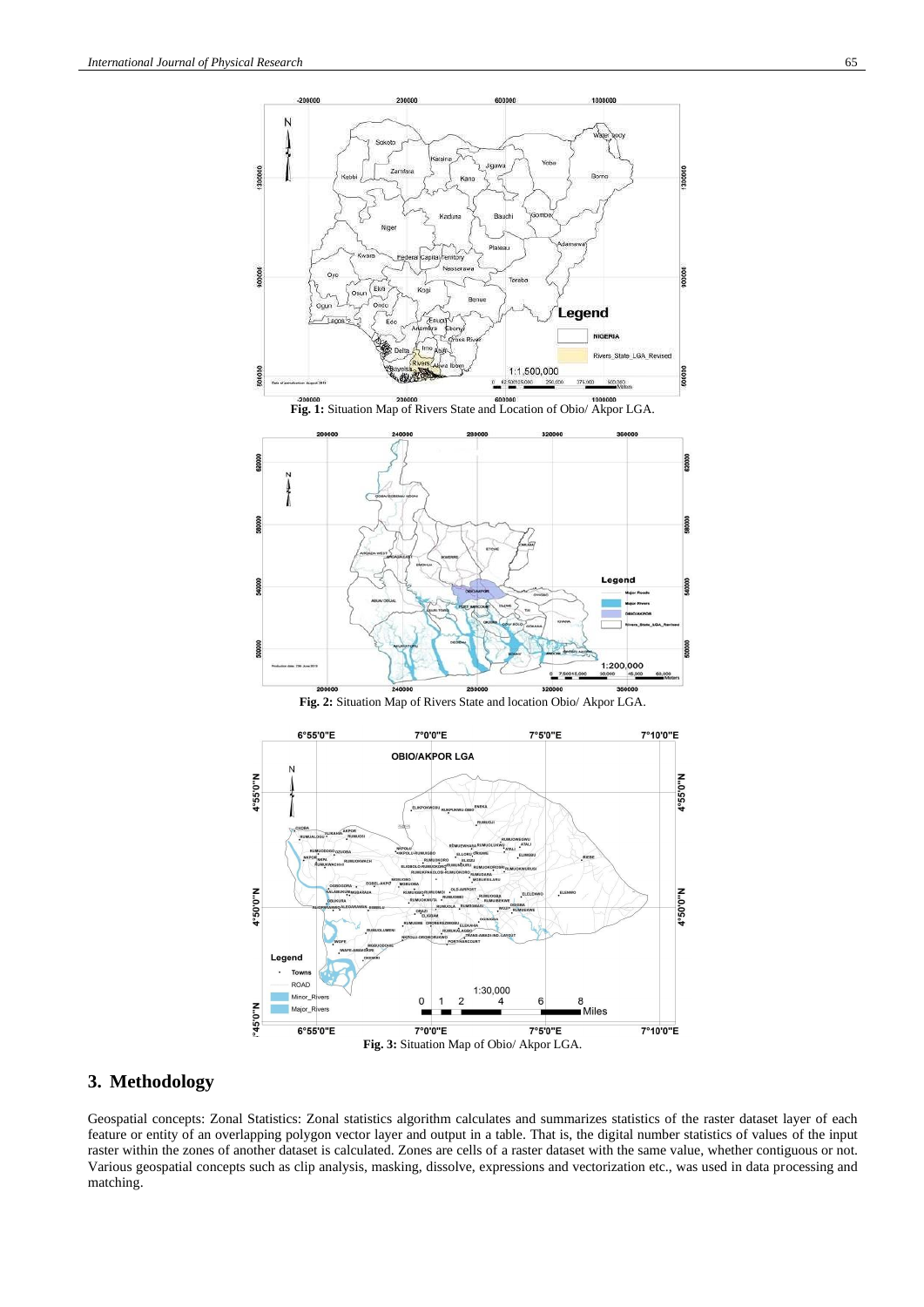



**Fig. 2:** Situation Map of Rivers State and location Obio/ Akpor LGA.



# **3. Methodology**

Geospatial concepts: Zonal Statistics: Zonal statistics algorithm calculates and summarizes statistics of the raster dataset layer of each feature or entity of an overlapping polygon vector layer and output in a table. That is, the digital number statistics of values of the input raster within the zones of another dataset is calculated. Zones are cells of a raster dataset with the same value, whether contiguous or not. Various geospatial concepts such as clip analysis, masking, dissolve, expressions and vectorization etc., was used in data processing and matching.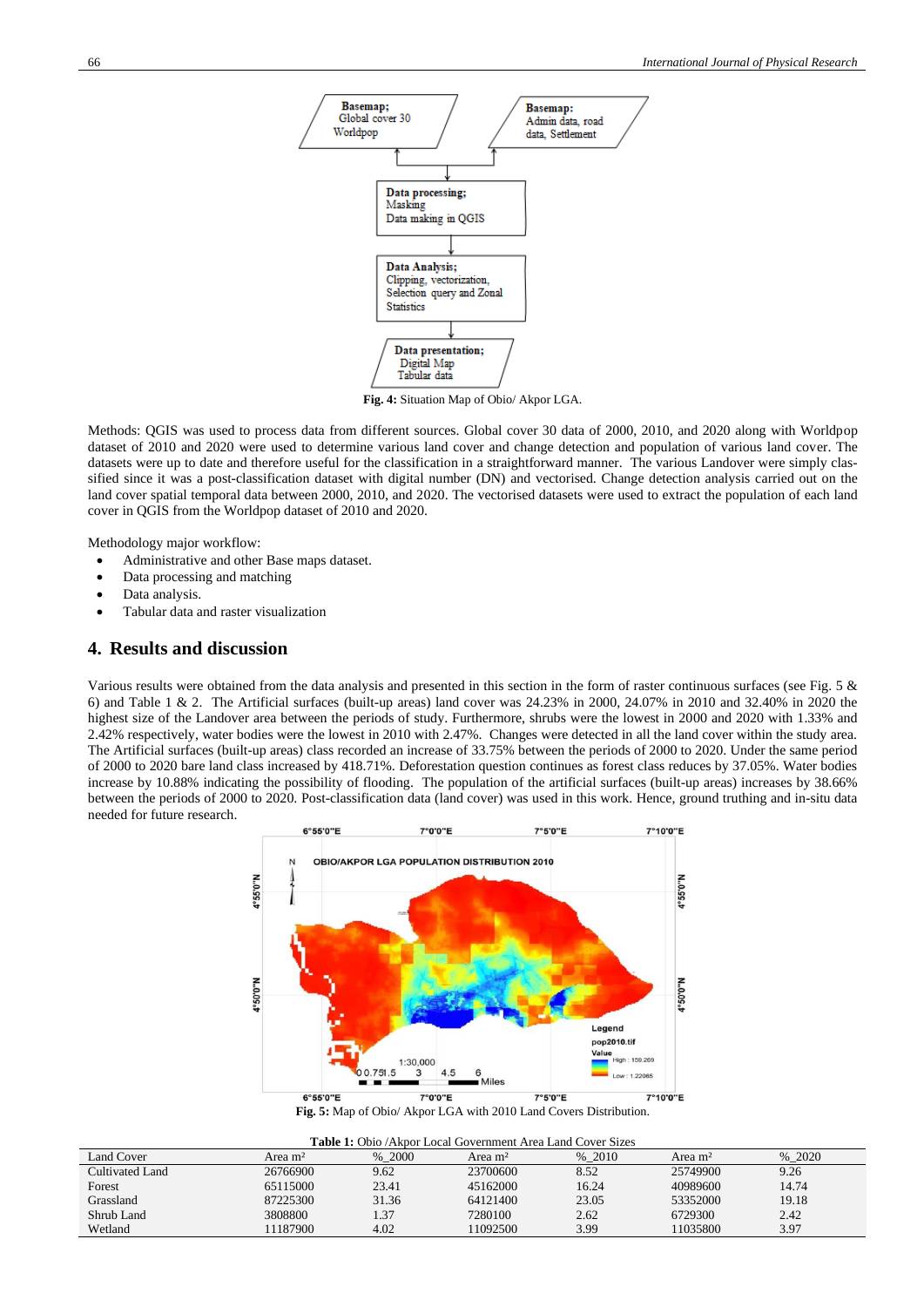

**Fig. 4:** Situation Map of Obio/ Akpor LGA.

Methods: QGIS was used to process data from different sources. Global cover 30 data of 2000, 2010, and 2020 along with Worldpop dataset of 2010 and 2020 were used to determine various land cover and change detection and population of various land cover. The datasets were up to date and therefore useful for the classification in a straightforward manner. The various Landover were simply classified since it was a post-classification dataset with digital number (DN) and vectorised. Change detection analysis carried out on the land cover spatial temporal data between 2000, 2010, and 2020. The vectorised datasets were used to extract the population of each land cover in QGIS from the Worldpop dataset of 2010 and 2020.

Methodology major workflow:

- Administrative and other Base maps dataset.
- Data processing and matching
- Data analysis.
- Tabular data and raster visualization

## **4. Results and discussion**

Various results were obtained from the data analysis and presented in this section in the form of raster continuous surfaces (see Fig. 5 & 6) and Table 1 & 2. The Artificial surfaces (built-up areas) land cover was 24.23% in 2000, 24.07% in 2010 and 32.40% in 2020 the highest size of the Landover area between the periods of study. Furthermore, shrubs were the lowest in 2000 and 2020 with 1.33% and 2.42% respectively, water bodies were the lowest in 2010 with 2.47%. Changes were detected in all the land cover within the study area. The Artificial surfaces (built-up areas) class recorded an increase of 33.75% between the periods of 2000 to 2020. Under the same period of 2000 to 2020 bare land class increased by 418.71%. Deforestation question continues as forest class reduces by 37.05%. Water bodies increase by 10.88% indicating the possibility of flooding. The population of the artificial surfaces (built-up areas) increases by 38.66% between the periods of 2000 to 2020. Post-classification data (land cover) was used in this work. Hence, ground truthing and in-situ data needed for future research.



**Fig. 5:** Map of Obio/ Akpor LGA with 2010 Land Covers Distribution.

| <b>Table 1:</b> Obio /Akpor Local Government Area Land Cover Sizes |                     |        |                     |        |                     |        |
|--------------------------------------------------------------------|---------------------|--------|---------------------|--------|---------------------|--------|
| Land Cover                                                         | Area m <sup>2</sup> | % 2000 | Area m <sup>2</sup> | % 2010 | Area m <sup>2</sup> | % 2020 |
| Cultivated Land                                                    | 26766900            | 9.62   | 23700600            | 8.52   | 25749900            | 9.26   |
| Forest                                                             | 65115000            | 23.41  | 45162000            | 16.24  | 40989600            | 14.74  |
| Grassland                                                          | 87225300            | 31.36  | 64121400            | 23.05  | 53352000            | 19.18  |
| Shrub Land                                                         | 3808800             | 1.37   | 7280100             | 2.62   | 6729300             | 2.42   |
| Wetland                                                            | 11187900            | 4.02   | 11092500            | 3.99   | 11035800            | 3.97   |